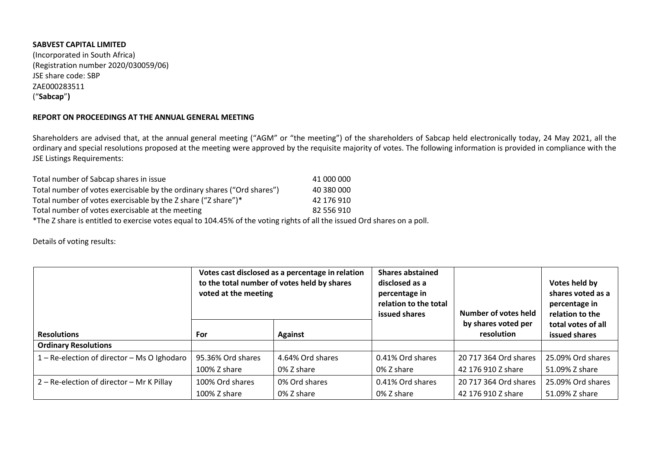## **SABVEST CAPITAL LIMITED**

(Incorporated in South Africa) (Registration number 2020/030059/06) JSE share code: SBP ZAE000283511 ("**Sabcap**"**)**

## **REPORT ON PROCEEDINGS AT THE ANNUAL GENERAL MEETING**

Shareholders are advised that, at the annual general meeting ("AGM" or "the meeting") of the shareholders of Sabcap held electronically today, 24 May 2021, all the ordinary and special resolutions proposed at the meeting were approved by the requisite majority of votes. The following information is provided in compliance with the JSE Listings Requirements:

| Total number of Sabcap shares in issue                                                                                   | 41 000 000 |
|--------------------------------------------------------------------------------------------------------------------------|------------|
| Total number of votes exercisable by the ordinary shares ("Ord shares")                                                  | 40 380 000 |
| Total number of votes exercisable by the Z share ("Z share")*                                                            | 42 176 910 |
| Total number of votes exercisable at the meeting                                                                         | 82 556 910 |
| *The Z share is entitled to exercise votes equal to 104.45% of the voting rights of all the issued Ord shares on a poll. |            |

Details of voting results:

|                                             | Votes cast disclosed as a percentage in relation<br>to the total number of votes held by shares<br>voted at the meeting |                  | <b>Shares abstained</b><br>disclosed as a<br>percentage in<br>relation to the total<br>issued shares | Number of votes held<br>by shares voted per | Votes held by<br>shares voted as a<br>percentage in<br>relation to the<br>total votes of all |
|---------------------------------------------|-------------------------------------------------------------------------------------------------------------------------|------------------|------------------------------------------------------------------------------------------------------|---------------------------------------------|----------------------------------------------------------------------------------------------|
| <b>Resolutions</b>                          | For                                                                                                                     | <b>Against</b>   |                                                                                                      | resolution                                  | issued shares                                                                                |
| <b>Ordinary Resolutions</b>                 |                                                                                                                         |                  |                                                                                                      |                                             |                                                                                              |
| 1 – Re-election of director – Ms O Ighodaro | 95.36% Ord shares                                                                                                       | 4.64% Ord shares | 0.41% Ord shares                                                                                     | 20 717 364 Ord shares                       | 25.09% Ord shares                                                                            |
|                                             | 100% Z share                                                                                                            | 0% Z share       | 0% Z share                                                                                           | 42 176 910 Z share                          | 51.09% Z share                                                                               |
| 2 – Re-election of director – Mr K Pillay   | 100% Ord shares                                                                                                         | 0% Ord shares    | 0.41% Ord shares                                                                                     | 20 717 364 Ord shares                       | 25.09% Ord shares                                                                            |
|                                             | 100% Z share                                                                                                            | 0% Z share       | 0% Z share                                                                                           | 42 176 910 Z share                          | 51.09% Z share                                                                               |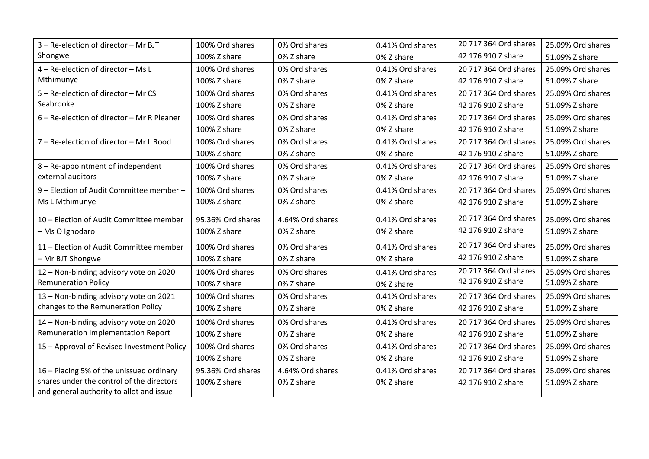| 3 - Re-election of director - Mr BJT       | 100% Ord shares   | 0% Ord shares    | 0.41% Ord shares | 20 717 364 Ord shares | 25.09% Ord shares |
|--------------------------------------------|-------------------|------------------|------------------|-----------------------|-------------------|
| Shongwe                                    | 100% Z share      | 0% Z share       | 0% Z share       | 42 176 910 Z share    | 51.09% Z share    |
| 4 - Re-election of director - Ms L         | 100% Ord shares   | 0% Ord shares    | 0.41% Ord shares | 20 717 364 Ord shares | 25.09% Ord shares |
| Mthimunye                                  | 100% Z share      | 0% Z share       | 0% Z share       | 42 176 910 Z share    | 51.09% Z share    |
| 5 - Re-election of director - Mr CS        | 100% Ord shares   | 0% Ord shares    | 0.41% Ord shares | 20 717 364 Ord shares | 25.09% Ord shares |
| Seabrooke                                  | 100% Z share      | 0% Z share       | 0% Z share       | 42 176 910 Z share    | 51.09% Z share    |
| 6 - Re-election of director - Mr R Pleaner | 100% Ord shares   | 0% Ord shares    | 0.41% Ord shares | 20 717 364 Ord shares | 25.09% Ord shares |
|                                            | 100% Z share      | 0% Z share       | 0% Z share       | 42 176 910 Z share    | 51.09% Z share    |
| 7 - Re-election of director - Mr L Rood    | 100% Ord shares   | 0% Ord shares    | 0.41% Ord shares | 20 717 364 Ord shares | 25.09% Ord shares |
|                                            | 100% Z share      | 0% Z share       | 0% Z share       | 42 176 910 Z share    | 51.09% Z share    |
| 8 - Re-appointment of independent          | 100% Ord shares   | 0% Ord shares    | 0.41% Ord shares | 20 717 364 Ord shares | 25.09% Ord shares |
| external auditors                          | 100% Z share      | 0% Z share       | 0% Z share       | 42 176 910 Z share    | 51.09% Z share    |
| 9 - Election of Audit Committee member -   | 100% Ord shares   | 0% Ord shares    | 0.41% Ord shares | 20 717 364 Ord shares | 25.09% Ord shares |
| Ms L Mthimunye                             | 100% Z share      | 0% Z share       | 0% Z share       | 42 176 910 Z share    | 51.09% Z share    |
| 10 - Election of Audit Committee member    | 95.36% Ord shares | 4.64% Ord shares | 0.41% Ord shares | 20 717 364 Ord shares | 25.09% Ord shares |
| - Ms O Ighodaro                            | 100% Z share      | 0% Z share       | 0% Z share       | 42 176 910 Z share    | 51.09% Z share    |
| 11 - Election of Audit Committee member    | 100% Ord shares   | 0% Ord shares    | 0.41% Ord shares | 20 717 364 Ord shares | 25.09% Ord shares |
| - Mr BJT Shongwe                           | 100% Z share      | 0% Z share       | 0% Z share       | 42 176 910 Z share    | 51.09% Z share    |
| 12 - Non-binding advisory vote on 2020     | 100% Ord shares   | 0% Ord shares    | 0.41% Ord shares | 20 717 364 Ord shares | 25.09% Ord shares |
| <b>Remuneration Policy</b>                 | 100% Z share      | 0% Z share       | 0% Z share       | 42 176 910 Z share    | 51.09% Z share    |
| 13 - Non-binding advisory vote on 2021     | 100% Ord shares   | 0% Ord shares    | 0.41% Ord shares | 20 717 364 Ord shares | 25.09% Ord shares |
| changes to the Remuneration Policy         | 100% Z share      | 0% Z share       | 0% Z share       | 42 176 910 Z share    | 51.09% Z share    |
| 14 - Non-binding advisory vote on 2020     | 100% Ord shares   | 0% Ord shares    | 0.41% Ord shares | 20 717 364 Ord shares | 25.09% Ord shares |
| Remuneration Implementation Report         | 100% Z share      | 0% Z share       | 0% Z share       | 42 176 910 Z share    | 51.09% Z share    |
| 15 - Approval of Revised Investment Policy | 100% Ord shares   | 0% Ord shares    | 0.41% Ord shares | 20 717 364 Ord shares | 25.09% Ord shares |
|                                            | 100% Z share      | 0% Z share       | 0% Z share       | 42 176 910 Z share    | 51.09% Z share    |
| 16 - Placing 5% of the unissued ordinary   | 95.36% Ord shares | 4.64% Ord shares | 0.41% Ord shares | 20 717 364 Ord shares | 25.09% Ord shares |
| shares under the control of the directors  | 100% Z share      | 0% Z share       | 0% Z share       | 42 176 910 Z share    | 51.09% Z share    |
| and general authority to allot and issue   |                   |                  |                  |                       |                   |